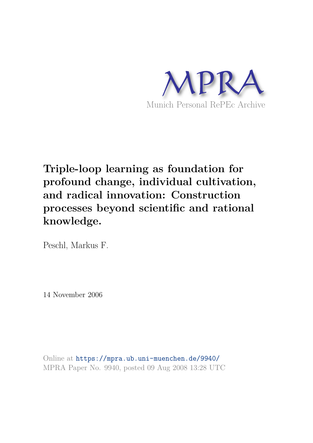

## **Triple-loop learning as foundation for profound change, individual cultivation, and radical innovation: Construction processes beyond scientific and rational knowledge.**

Peschl, Markus F.

14 November 2006

Online at https://mpra.ub.uni-muenchen.de/9940/ MPRA Paper No. 9940, posted 09 Aug 2008 13:28 UTC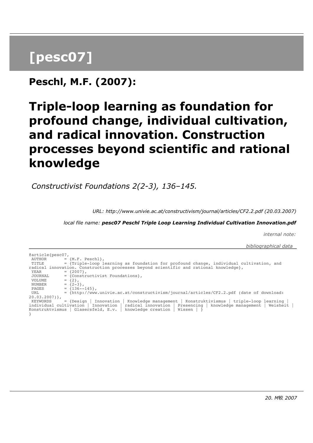## **[pesc07]**

**Peschl, M.F. (2007):**

## **Triple-loop learning as foundation for profound change, individual cultivation, and radical innovation. Construction processes beyond scientific and rational knowledge**

 *Constructivist Foundations 2(2-3), 136–145.*

*URL: http://www.univie.ac.at/constructivism/journal/articles/CF2.2.pdf (20.03.2007)*

*local file name: pesc07 Peschl Triple Loop Learning Individual Cultivation Innovation.pdf*

*internal note:*

 *bibliographical data* 

@article{pesc07, AUTHOR  $= \{M.F. \text{Peschl}\},\$  TITLE = {Triple-loop learning as foundation for profound change, individual cultivation, and radical innovation. Construction processes beyond scientific and rational knowledge}, YEAR  $= {2007}$ ,<br>JOURNAL  $= { \text{Const}}$ JOURNAL = {Constructivist Foundations},<br>VOLUME = {2}, VOLUME  $= \{2\}$ , NUMBER  $= {2-3}$ , PAGES  $= \{136 - -145\},$ URL = {http://www.univie.ac.at/constructivism/journal/articles/CF2.2.pdf (date of download:  $20.03.2007)$ , KEYWORDS = {Design | Innovation | Knowledge management | Konstruktivismus | triple-loop learning | individual cultivation | Innovation | radical innovation | Presencing | knowledge management | Weisheit | Konstruktvismus | Glasersfeld, E.v. | knowledge creation | Wissen | } }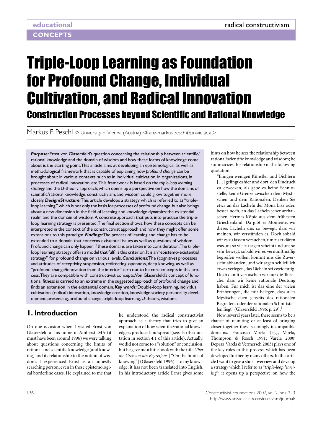# Triple-Loop Learning as Foundation for Profound Change, Individual Cultivation, and Radical Innovation Construction Processes beyond Scientific and Rational Knowledge

Markus F. Peschl  $\diamond$  University of Vienna (Austria) <franz-markus.peschl@univie.ac.at>

Purpose: Ernst von Glasersfeld's question concerning the relationship between scientific/ rational knowledge and the domain of wisdom and how these forms of knowledge come about is the starting point. This article aims at developing an epistemological as well as methodological framework that is capable of explaining how *profound change* can be brought about in various contexts, such as in individual cultivation, in organizations, in processes of radical innovation, etc. This framework is based on the *triple-loop learning strategy* and the U-theory approach, which opens up a perspective on how the domains of scientific/rational knowledge, constructivism, and wisdom could grow together more closely. *Design/Structure:* This article develops a strategy which is referred to as "tripleloop learning," which is not only the basis for processes of profound change, but also brings about a new dimension in the field of learning and knowledge dynamics: the existential realm and the domain of wisdom. A concrete approach that puts into practice the tripleloop learning strategy is presented. The final section shows, how these concepts can be interpreted in the context of the constructivist approach and how they might offer some extensions to this paradigm. *Findings:* The process of learning and change has to be extended to a domain that concerns existential issues as well as questions of wisdom. Profound change can only happen if these domains are taken into consideration. The tripleloop learning strategy offers a model that fulfills this criterion. It is an "epistemo-existential strategy" for profound change on various levels. *Conclusions:* The (cognitive) processes and attitudes of receptivity, suspension, redirecting, openness, deep knowing, as well as "profound change/innovation from the interior" turn out to be core concepts in this process. They are compatible with constructivist concepts. Von Glasersfeld's concept of functional fitness is carried to an extreme in the suggested approach of profound change and finds an extension in the existential domain. *Key words:* Double-loop learning, individual cultivation, (radical) innovation, knowledge creation, knowledge society, personality development, presencing, profound change, triple-loop learning, U-theory, wisdom.

## **1. Introduction**

On one occasion when I visited Ernst von Glasersfeld at his home in Amherst, MA (it must have been around 1996) we were talking about questions concerning the limits of rational and scientific knowledge (and knowing) and its relationship to the notion of wisdom. I experienced Ernst as an honestly searching person, even in these epistemological borderline cases. He explained to me that

he understood the radical constructivist approach as a theory that tries to give an explanation of how scientific/rational knowledge is produced and spread (see also the quotation in section 4.1 of this article). Actually, we did not come to a "solution" or conclusion, but he gave me a little book with the title *Über die Grenzen des Begreifens* [ "On the limits of knowing"] (Glasersfeld 1996) – to my knowledge, it has not been translated into English. In his introductory article Ernst gives some

hints on how he sees the relationship between rational/scientific knowledge and wisdom; he summarizes this relationship in the following quotation.

"Einigen wenigen Künstler und Dichtern [...] gelingt es hier und dort, den Eindruck zu erwecken, als gäbe es keine Schnittstelle, keine Grenze zwischen dem Mystischen und dem Rationalen. Denken Sie etwa an das Lächeln der Mona Lisa oder, besser noch, an das Lächeln jener archaischen Hermes-Köpfe aus dem frühesten Griechenland. Da gibt es Momente, wo dieses Lächeln uns so bewegt, dass wir meinen, wir verstünden es. Doch sobald wir es zu fassen versuchen, um zu erklären was uns so viel zu sagen scheint und uns so sehr bewegt, sobald wir es vernunftmäflig begreifen wollen, kommt uns die Zuversicht abhanden, und wir sagen schliefllich etwas verlegen, das Lächeln sei zweideutig. Doch damit vertuschen wir nur die Tatsache, dass wir keine rationale Deutung haben. Für mich ist das eine der vielen Erfahrungen, die mir belegen, dass alles Mystische eben jenseits des rationalen Begreifens oder der rationalen Schnittstellen liegt" (Glasersfeld 1996, p. 29).<sup>1</sup>

Now, several years later, there seems to be a chance of reuniting or at least of bringing closer together these seemingly incompatible domains. Francisco Varela (e.g., Varela, Thompson & Rosch 1991; Varela 2000; Depraz, Varela & Vermersch 2003) plays one of the key roles in this process, which has been developed further by many others. In this article I want to give a short overview and develop a strategy which I refer to as "*triple-loop learning*"; it opens up a perspective on how the

136 Constructivist Foundations 2007, vol. 2, nos. 2–3 http://www.univie.ac.at/constructivism/journal/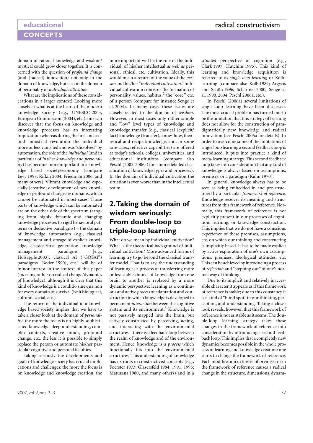domain of rational knowledge and wisdom/ mystical could grow closer together. It is concerned with the question of *profound change* (and [radical] innovation) not only in the domain of knowledge, but also in the domain of personality or *individual cultivation*.

What are the implications of these considerations in a larger context? Looking more closely at what is at the heart of the modern knowledge society (e.g., UNESCO 2005, European Commission (2004), etc.), one can discover that the focus on knowledge and knowledge processes has an interesting implication: whereas during the first and second industrial revolution the individual more or less vanished and was "dissolved" by automation, the role of the *individual* (and in particular of *his/her knowledge* and *personality*) has become more important in a knowledge based society/economy (compare Levy 1997; Rifkin 2004, Friedman 2006, and many others). Vibrant knowledge and especially (creative) development of new knowledge or profound change are domains, which can*not* be automated in most cases. Those parts of knowledge which can be automated are on the other side of the spectrum (ranging from highly dynamic and changing knowledge processes to rigid behavioral patterns or deductive paradigms) – the domain of knowledge automation (e.g., classical management and storage of explicit knowledge, classical/first generation knowledge management paradigms [e.g., Holsapple 2003], classical AI ("GOFAI") paradigms [Boden 1990], etc.) will be of minor interest in the context of this paper (focusing rather on radical change/dynamics of knowledge), although it is clear that this kind of knowledge is a conditio sine qua non for every domain of survival (be it biological, cultural, social, etc.).

The return of the individual in a knowledge based society implies that we have to take a closer look at the domain of *personality*: the more the focus is on highly sophisticated knowledge, deep understanding, complex contexts, creative minds, profound change, etc., the less it is possible to simply replace the person or automate his/her particular cognitive and personal faculties.

Taking seriously the developments and goals of knowledge society has crucial implications and challenges: the more the focus is on knowledge and knowledge creation, the

more important will be the role of the individual, of his/her intellectual *as well as* personal, ethical, etc. cultivation. Ideally, this would mean a return of the value of the *person* and his/her "*individual cultivation*." Individual cultivation concerns the formation of personality, values, habitus,<sup>2</sup> the "core," etc. of a person (compare for instance Senge et al. 2004). In many cases these issues are closely related to the domain of *wisdom*. However, in most cases only rather simple and "low" level types of knowledge and knowledge transfer (e.g., classical (explicit/ fact) knowledge (transfer), know-how, theoretical and recipe knowledge, and, in some rare cases, reflective capabilities) are offered at today's schools, colleges, universities, and educational institutions (compare also Peschl (2003, 2006a) for a more detailed classification of knowledge types and processes). In the domain of individual cultivation the situation is even worse than in the intellectual realm.

## **2. Taking the domain of wisdom seriously: From double-loop to triple-loop learning**

What do we mean by individual cultivation? What is the theoretical background of individual cultivation? More advanced forms of learning try to go beyond the classical transfer model. That is to say, the understanding of learning as a process of transferring more or less stable chunks of knowledge from one brain to another is replaced by a more dynamic perspective: learning as a continuous and active *process* of adaptation and construction in which knowledge is developed in permanent *interaction* between the cognitive system and its environment.<sup>3</sup> Knowledge is not passively mapped into the brain, but actively constructed by perceiving, acting, and interacting with the environmental structures – there is a feedback loop between the realm of knowledge and of the environment. Hence, knowledge is a *process* which functionally fits into the environmental structures. This understanding of knowledge has its roots in constructivist concepts (e.g., Foerster 1973; Glasersfeld 1984, 1991, 1995; Maturana 1980, and many others) and in a

*situated* perspective of cognition (e.g., Clark 1997; Hutchins 1995). This kind of learning and knowledge acquisition is referred to as *single-loop learning* or Kolblearning (compare also Kolb 1984; Argyris and Schön 1996; Scharmer 2000; Senge et al. 1990, 2004, Peschl 2006a, etc.).

In Peschl (2006a) several limitations of single-loop learning have been discussed. The most crucial problem has turned out to be the limitation that this strategy of learning does not allow for the construction of paradigmatically new knowledge and radical innovation (see Peschl 2006a for details). In order to overcome some of the limitations of single loop learning a second feedback loop is introduced. It puts into practice a kind of meta-learning strategy. This second feedback loop takes into consideration that any kind of knowledge is always based on assumptions, premises, or a paradigm (Kuhn 1970).

In general, knowledge always has to be seen as being embedded in and pre-structured by a particular *framework of reference*. Knowledge receives its meaning and structures from this framework of reference. Normally, this framework of reference is not explicitly present in our processes of cognition, learning, or knowledge construction. This implies that we do not have a conscious experience of these premises, assumptions, etc. on which our thinking and constructing is implicitly based. It has to be made explicit by active exploration of one's own assumptions, premises, ideological attitudes, etc. This can be achieved by introducing a process of *reflection* and "stepping out" of one's normal way of thinking.

Due to its implicit and relatively inaccessible character it appears as if this framework of reference is stable; due to this constancy it is a kind of "blind spot" in our thinking, perception, and understanding. Taking a closer look reveals, however, that this framework of reference is not as stable as it seems. The double-loop learning strategy takes these changes in the framework of reference into consideration by introducing a second feedback loop. This implies that a completely new dynamics becomes possible in the whole process of learning and knowledge creation: one starts to change the framework of reference. Each modification in the set of premises or in the framework of reference causes a radical change in the structure, dimensions, dynam-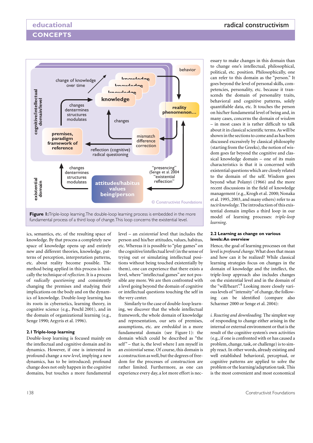

fundamental process of a third loop of change. This loop concerns the existential level.

ics, semantics, etc. of the resulting space of knowledge. By that process a completely new space of knowledge opens up and entirely new and different theories, knowledge, patterns of perception, interpretation patterns, etc. about reality become possible. The method being applied in this process is basically the technique of *reflection*. It is a process of *radically questioning* and consistently changing the premises and studying their implications on the body and on the dynamics of knowledge. Double-loop learning has its roots in cybernetics, learning theory, in cognitive science (e.g., Peschl 2001), and in the domain of organizational learning (e.g., Senge 1990; Argyris et al. 1996).

### **2.1 Triple-loop learning**

Double-loop learning is focused mainly on the intellectual and cognitive domain and its dynamics. However, if one is interested in profound change a *new level*, implying a new dynamics, has to be introduced; profound change does not only happen in the cognitive domains, but touches a more fundamental level – an *existential* level that includes the person and his/her attitudes, values, habitus, etc. Whereas it is possible to "play games" on the cognitive/intellectual level (in the sense of trying out or simulating intellectual positions without being touched existentially by them), one can experience that there exists a level, where "intellectual games" are not possible any more. We are then confronted with a level going beyond the domain of cognitive or intellectual questions touching the self in the very center.

Similarly to the case of double-loop learning, we discover that the whole intellectual framework, the whole domain of knowledge and representation, our sets of premises, assumptions, etc. are *embedded* in a more fundamental domain (see Figure 1): the domain which could be described as "the self" – that is, the level where I am myself in an *existential* sense. Of course, this domain is a construction as well, but the degrees of freedom for the processes of construction are rather limited. Furthermore, as one can experience every day, a lot more effort is nec-

essary to make changes in this domain than to change one's intellectual, philosophical, political, etc. position. Philosophically, one can refer to this domain as the "person." It goes beyond the level of personal skills, competencies, personality, etc. because it transcends the domain of personality traits, behavioral and cognitive patterns, solely quantifiable data, etc. It touches the person on his/her fundamental level of being and, in many cases, concerns the domain of *wisdom –* in most cases it is rather difficult to talk about it in classical scientific terms. As will be shown in the sections to come and as has been discussed excessively by classical philosophy (starting from the Greeks), the notion of wisdom goes far beyond the cognitive and classical knowledge domain – one of its main characteristics is that it is concerned with existential questions which are closely related to the domain of the self. Wisdom goes beyond what Polanyi (1966) and the more recent discussions in the field of knowledge management (e.g., Krogh et al. 2000; Nonaka et al. 1995, 2003, and many others) refer to as *tacit knowledge*. The introduction of this existential domain implies a third loop in our model of learning processes: *triple-loop learning*.

#### **2.2 Learning as change on various levels: An overview**

Hence, the goal of learning processes on that level is *profound change*. What does that mean and how can it be realized? While classical learning strategies focus on changes in the domain of knowledge and the intellect, the triple-loop approach also includes changes on the existential level and in the domain of the "will/heart".<sup>4</sup> Looking more closely various levels of "intensity" of change, the following can be identified (compare also Scharmer 2000 or Senge et al. 2004):

*i. Reacting and downloading.* The simplest way of responding to change either arising in the internal or external environment or that is the result of the cognitive system's own activities (e.g., if one is confronted with or has caused a problem, change, task, or challenge) is to simply react. In other words, already existing and well established behavioral, perceptual, or cognitive patterns are applied to solve the problem or the learning/adaptation task. This is the most convenient and most economical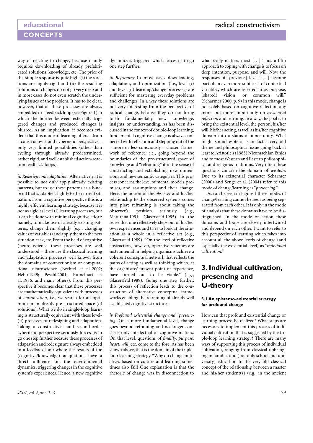way of reacting to change, because it only requires downloading of already prefabricated solutions, knowledge, etc. The price of this simple response is quite high: (i) the reactions are highly rigid and (ii) the resulting solutions or changes do not go very deep and in most cases do not even scratch the underlying issues of the problem. It has to be clear, however, that all these processes are always embedded in a feedback loop (see Figure 1) in which the border between externally triggered changes and produced changes is blurred. As an implication, it becomes evident that this mode of learning offers – from a constructivist and cybernetic perspective – only very limited possibilities (other than cycling through already predetermined, rather rigid, and well established action-reaction feedback-loops).

*ii. Redesign and adaptation.* Alternatively, it is possible to not only apply already existing patterns, but to use these patterns as a blueprint that is adapted slightly to the current situation. From a cognitive perspective this is a highly efficient learning strategy, because it is not as rigid as level (i) learning processes, but it can be done with minimal cognitive effort: namely, to make use of already existing patterns, change them slightly (e.g., changing values of variables) and apply them to the new situation, task, etc. From the field of cognitive (neuro-)science these processes are well understood – these are the classical learning and adaptation processes well known from the domains of connectionism or computational neuroscience (Bechtel et al. 2002; Hebb 1949; Peschl 2001; Rumelhart et al. 1986, and many others). From this perspective it becomes clear that these processes are mathematically equivalent with processes of *optimization,* i.e., we search for an optimum in an already pre-structured space (of solutions). What we do in single-loop learning is structurally equivalent with these level- (ii) processes of redesigning and adaptation. Taking a constructivist and second-order cybernetic perspective seriously forces us to go one step further because these processes of adaptation and redesign are always embedded in a feedback loop where the results of the (cognitive/knowledge) adaptations have a direct influence on the environmental dynamics, triggering changes in the cognitive system's experiences. Hence, a new cognitive

dynamics is triggered which forces us to go one step further.

*iii. Reframing.* In most cases downloading, adaptation, and optimization (i.e., level-(i) and level-(ii) learning/change processes) are sufficient for mastering everyday problems and challenges. In a way these solutions are not very interesting from the perspective of radical change, because they do not bring forth fundamentally new knowledge, insights, or understanding. As has been discussed in the context of double-loop learning, fundamental cognitive change is always connected with reflection and stepping out of the – more or less consciously – chosen framework of reference: i.e., going beyond the boundaries of the pre-structured space of knowledge and "reframing" it in the sense of constructing and establishing new dimensions and new semantic categories. This process concerns the level of mental models, premises, and assumptions and their change. Here, the notion of the *observer* and his/her relationship to the observed systems comes into play; reframing is about taking the observer's position seriously (e.g., Maturana 1991; Glasersfeld 1995) in the sense that one reflectively steps out of his/her own experiences and tries to look at the situation as a whole in a reflective act (e.g., Glasersfeld 1989). "On the level of reflective abstraction, however, operative schemes are instrumental in helping organisms achieve a coherent conceptual network that reflects the paths of acting as well as thinking which, at the organisms' present point of experience, have turned out to be viable." (e.g., Glasersfeld 1989). Going one step further, this process of reflection leads to the construction of alternative conceptual frameworks enabling the reframing of already well established cognitive structures.

*iv. Profound existential change and "presencing".* On a more fundamental level, change goes beyond reframing and no longer concerns only intellectual or cognitive matters. On that level, questions of *finality, purpose, heart, will*, etc. come to the fore. As has been shown above, that is the domain of the tripleloop learning strategy. "Why do change initiatives based on culture and learning sometimes also fail? One explanation is that the rhetoric of change was in disconnection to

what really matters most […] Thus a fifth approach to coping with change is to focus on deep intention, purpose, and will. Now the responses of [previous] levels […] become part of an even more subtle set of contextual variables, which are referred to as purpose, (shared) vision, or common will." (Scharmer 2000, p. 9) In this mode, change is not solely based on cognitive reflection any more, but more importantly on *existential reflection* and learning. In a way, the goal is to bring the existential level, the person, his/her will, his/her acting, as well as his/her cognitive domain into a status of inner unity. What might sound esoteric is in fact a very old theme and philosophical issue going back at least to Aristotle's (1985) Nicomachian Ethics and to most Western and Eastern philosophical and religious traditions. Very often these questions concern the domain of *wisdom*. Due to its existential character Scharmer (2000) and Senge et al. (2004) refer to this mode of change/learning as "*presencing*."

As can be seen in Figure 1 these modes of change/learning cannot be seen as being separated from each other. It is only in the mode of analysis that these domains have to be distinguished. In the mode of action these domains and loops are closely intertwined and depend on each other. I want to refer to this perspective of learning which takes into account all the above levels of change (and especially the existential level) as "*individual cultivation*."

## **3. Individual cultivation, presencing and U-theory**

#### **3.1 An epistemo-existential strategy for profound change**

How can that profound existential change or learning process be realized? What steps are necessary to implement this process of individual cultivation that is suggested by the triple-loop learning strategy? There are many ways of supporting this process of individual cultivation, ranging from classical upbringing in families and (not only school and university) education to the very old classical concept of the relationship between a master and his/her student(s) (e.g., in the ancient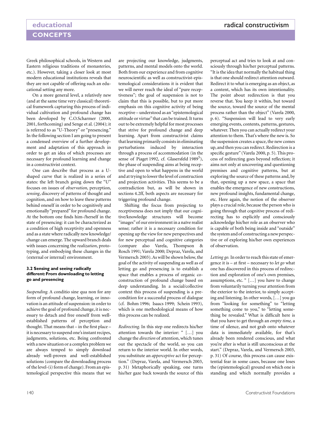Greek philosophical schools, in Western and Eastern religious traditions of monasteries, etc.). However, taking a closer look at most modern educational institutions reveals that they are not capable of offering such an educational setting any more.

On a more general level, a relatively new (and at the same time very classical) theoretical framework capturing this process of individual cultivation and profound change has been developed by C.O.Scharmer (2000, 2001, forthcoming) and Senge et al. (2004); it is referred to as "U-Theory" or "presencing." In the following section I am going to present a condensed overview of a further development and adaptation of this approach in order to get an idea of which processes are necessary for profound learning and change in a constructivist context.

One can describe that process as a Ushaped curve that is realized in a series of states: the left branch going down the "U" focuses on issues of *observation*, perception, *sensing*, discovery of patterns of thought and cognition, and on how to leave these patterns behind oneself in order to be cognitively and emotionally "prepared" for profound change. At the bottom one finds him-/herself in the state of presencing: it can be characterized as a condition of high receptivity and openness and as a state where radically new knowledge/ change can emerge. The upward branch deals with issues concerning the *realization*, prototyping, and embodying these changes in the (external or internal) environment.

#### **3.2 Sensing and seeing radically different: From downloading to letting go and presencing**

*Suspending.* A conditio sine qua non for any form of profound change, learning, or innovation is an attitude of suspension: in order to achieve the goal of profound change, it is necessary to detach and free oneself from wellestablished patterns of perception and thought. That means that – in the first place – it is necessary to suspend one's instant recipes, judgments, solutions, etc. Being confronted with a new situation or a complex problem we are always temped to simply download already well-proven and well-established solutions (compare the downloading process of the level-(i) form of change). From an epistemological perspective this means that we are projecting our knowledge, judgments, patterns, and mental models onto the world. Both from our experience and from cognitive neuroscientific as well as constructivist-epistemological considerations it is evident that we will never reach the ideal of "pure receptiveness"; the goal of suspension is not to claim that this is possible, but to put more emphasis on this cognitive activity of being receptive – understood as an "epistemological attitude or virtue" that can be trained. It turns out to be extremely helpful for most processes that strive for profound change and deep learning. Apart from constructivist claims that learning primarily consists in eliminating perturbations induced by interaction through a process of accommodation (in the sense of Piaget 1992, cf. Glasersfeld 1989<sup>5</sup>), the phase of suspending aims at being receptive and open to what happens in the world and at trying to lower the level of construction and projection activities. This seems to be a contradiction but, as will be shown in sections 4.2ff, both aspects are necessary for triggering profound change.

Shifting the focus from projecting to receptiveness does not imply that our cognitive/knowledge structures will become "images" of our environment in a naïve realist sense; rather it is a necessary condition for opening up the view for new perspectives and for new perceptual and cognitive categories (compare also Varela, Thompson & Rosch 1991; Varela 2000; Depraz, Varela, and Vermersch 2003). As will be shown below, the goal of the activity of suspending as well as of letting go and presencing is to establish a space that enables a process of organic coconstruction of profound change based on deep understanding. In a social/collective context this process of suspending is a precondition for a successful process of dialogue (cf. Bohm 1996; Isaacs 1999; Schein 1993), which is one methodological means of how this process can be realized.

*Redirecting.* In this step one redirects his/her attention towards the interior: " […] you change the *direction* of attention, which tunes out the spectacle of the world, so you can return to the interior world. In other words, you substitute an *apperceptive* act for perception." (Depraz, Varela, and Vermersch 2003, p. 31) Metaphorically speaking, one turns his/her gaze back towards the source of this

perceptual act and tries to look at and consciously through his/her perceptual patterns. "It is the idea that normally the habitual thing is that one should redirect attention outward. Redirect it to what is emerging as an object, as a content, which has its own intentionality. The point about redirection is that you reverse that. You keep it within, but toward the source, toward the source of the mental process rather than the object" (Varela 2000, p. 6). "Suspension will lead to very early emerging events, contents, patterns, gestures, whatever. Then you can actually redirect your attention to them. That's where the new is. So the suspension creates a space, the new comes up, and then you can redirect. Redirection is a specific gesture" (Varela 2000, p. 5). This process of redirecting goes beyond reflection; it aims not only at uncovering and questioning premises and cognitive patterns, but at exploring the source of these patterns and, by that, opening up a new space, a space that enables the emergence of new constructions, new profound insights, fundamental change, etc. Here again, the notion of the observer plays a crucial role, because the person who is going through that cognitive process of redirecting has to explicitly and consciously acknowledge his/her role as an observer who is capable of both being inside and "outside" the system and of constructing a new perspective or of exploring his/her own experiences of observation.

*Letting go.* In order to reach this state of emergence it is – at first – necessary to *let go* what one has discovered in this process of redirection and exploration of one's own premises, assumptions, etc. " […] you have to change from voluntarily turning your attention from the exterior to the interior, to simply accepting and listening. In other words, […] you go from "looking for something" to "letting something come to you," to "letting something be revealed." What is difficult here is that you have to get through an *empty time,* a time of silence, and not grab onto whatever data is immediately available, for that's already been rendered conscious, and what you're after is what is still unconscious at the start." (Depraz, Varela, and Vermersch 2003, p. 31) Of course, this process can cause existential fear in some cases, because one loses the (epistemological) ground on which one is standing and which normally provides a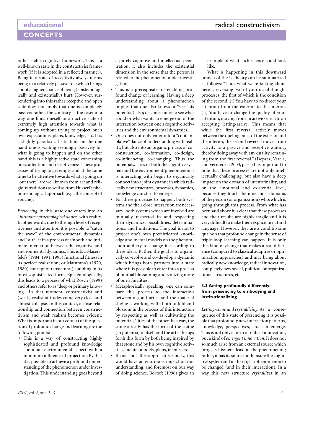rather stable cognitive framework. This is a well-known state in the constructivist framework (if it is adopted in a reflected manner). Being in a state of receptivity always means being in a relatively passive role which brings about a higher chance of being (epistemologically and existentially) hurt. However, surrendering into this rather receptive and open state does not imply that one is completely passive; rather, the contrary is the case: in a way one finds oneself in an active state of extremely high attention towards what is coming up without trying to project one's own expectations, plans, knowledge, etc. It is a slightly paradoxical situation: on the one hand one is waiting seemingly passively for what is going to happen and on the other hand this is a highly active state concerning one's attention and receptiveness. These processes of trying to get empty and at the same time to be attentive towards what is going on "out there" are well known from art and religious traditions as well as from Husserl's phenomenological approach (e.g., the concept of epoche).

*Presencing.* In this state one enters into an "*intimate epistemological dance*" with reality. In other words, due to the high level of receptiveness and attention it is possible to "catch the wave" of the environmental dynamics and "surf" it in a process of smooth and intimate interaction between the cognitive and environmental dynamics. This is E.v.Glasersfeld's (1984, 1991, 1995) functional fitness in its perfect realization; or Maturana's (1970, 1980) concept of (structural) coupling in its most sophisticated form. Epistemologically, this leads to a process of what Rosch (1999) and others refer to as "deep or primary knowing." In that moment, constructivist and (weak) realist attitudes come very close and almost collapse. In this context, a close relationship and connection between constructivism and weak realism becomes evident. What is important in our context of the question of profound change and learning are the following points:

**This is a way of constructing highly** sophisticated and profound knowledge about an environmental aspect with a minimum influence of projection. By that it is possible to achieve a profound understanding of the phenomenon under investigation. This understanding goes beyond

a purely cognitive and intellectual penetration; it also includes the existential dimension in the sense that the person is related to the phenomenon under investigation.

- This is a prerequisite for enabling profound change or learning. Having a deep understanding about a phenomenon implies that one also knows or "sees" its potential(-ity); i.e., one comes to see what could or what wants to emerge out of the interaction between one's cognitive activities and the environmental dynamics.
- One does not only enter into a "contemplative" dance of understanding with reality, but also into an organic process of coconstruction, co-formation, co-design, co-influencing, co-changing. Thus the potentials/-ities of both the cognitive system and the environment/phenomenon it is interacting with begin to organically connect into a joint dynamic in which radically new structures, processes, dynamics, knowledge can start to emerge.
- For these processes to happen, both systems and their close interaction are necessary; both systems which are involved are mutually respected in and respecting their dynamics, possibilities, determinations, and limitations. The goal is not to project one's own prefabricated knowledge and mental models on the phenomenon and try to change it according to these ideas. Rather, the goal is to organically co-evolve and co-develop a dynamic which brings both partners into a state where it is possible to enter into a process of mutual blossoming and realizing more of one's finalities.
- [ Metaphorically speaking, one can compare this process to the interaction between a good artist and the material she/he is working with: both unfold and blossom in the process of this interaction by respecting as well as cultivating the potentials/-ities of the other. In a way, the stone already has the form of the statue (in potentia) in itself and the artist brings forth this form by both being inspired by that stone and by his own cognitive activities, mental models, plans, talents, etc.
- If one took this approach seriously, this would have an enormous impact on our understanding, and foremost on our way of doing science. Bortoft (1996) gives an

example of what such science could look like.

What is happening in this downward branch of the U-theory can be summarized as follows: "Thus what we're talking about here is reversing two of your usual thought processes, the first of which is the condition of the second: (i) You have to re-direct your attention from the exterior to the interior. (ii) You have to change the quality of your attention, moving from an active search to an accepting letting-arrive*.* This means that while the first reversal actively moves between the dueling poles of the exterior and the interior, the second reversal moves from activity to a passive and receptive waiting, thereby doing away with any duality remaining from the first reversal." (Depraz, Varela, and Vermersch 2003, p. 31) It is important to note that these processes are not only intellectually challenging, but also have a deep impact on the domain of intent/finality, and on the emotional and existential level, because they touch the innermost domains of the person (or organization) who/which is going through this process. From what has been said above it is clear that these processes and their results are highly fragile and it is very difficult to make them explicit in natural language. However, they are a conditio sine qua non that profound change in the sense of triple-loop learning can happen. It is only this kind of change that makes a real difference (compared to classical adaptive or optimization approaches) and may bring about radically new knowledge, radical innovation, completely new social, political, or organizational structures, etc.

#### **3.3 Acting profoundly differently: from presencing to embodying and institutionalizing**

*Letting-come and crystallizing.* As a consequence of this state of presencing it is possible that profoundly new interaction patterns, knowledge, perspectives, etc. can emerge. This is not only a form of radical innovation, but a kind of *emergent innovation*. It does not so much arise from an external source which projects his/her ideas on the phenomenon; rather, it has its source both inside the cognitive system and in the object/phenomenon to be changed (and in their interaction). In a way this new structure *crystallizes* in an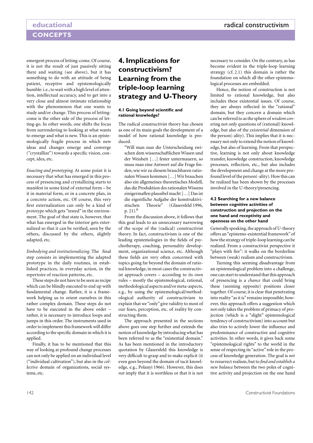emergent process of letting-come. Of course, it is not the result of just passively sitting there and waiting (see above), but it has something to do with an attitude of being patient, receptive and epistemologically humble: i.e., to wait with a high level of attention, intellectual accuracy, and to get into a very close and almost intimate relationship with the phenomenon that one wants to study and/or change. This process of lettingcome is the other side of the process of letting-go. In other words, one shifts the focus from surrendering to looking at what wants to emerge and what is new. This is an epistemologically fragile process in which new ideas and changes emerge and converge ("crystallize") towards a specific vision, concept, idea, etc.

*Enacting and prototyping.* At some point it is necessary that what has emerged in this process of presencing and crystallizing starts to manifest in some kind of external form – be it in material form, or in a concrete plan, in a concrete action, etc. Of course, this very first externalization can only be a kind of *prototype* which gets "tested" in the environment. The goal of that state is, however, that what has emerged in the interior gets externalized so that it can be verified, seen by the others, discussed by the others, slightly adapted, etc.

*Embodying and institutionalizing.* The final step consists in implementing the adapted prototype in the daily routines, in established practices, in everyday action, in the repertoire of reaction patterns, etc.

These steps do not have to be seen as recipe which can be blindly executed to end up with fundamental change. Rather, it is a framework helping us to orient ourselves in this rather complex domain. These steps do not have to be executed in the above order – rather, it is necessary to introduce loops and jumps in this order. The instruments used in order to implement this framework will differ according to the specific domain in which it is applied.

Finally, it has to be mentioned that this way of looking at profound change processes can not only be applied on an individual level ("individual cultivation"), but also in the *collective* domain of organizations, social systems, etc.

## **4. Implications for constructivism? Learning from the triple-loop learning strategy and U-Theory**

#### **4.1 Going beyond scientific and rational knowledge?**

The radical constructivist theory has chosen as one of its main goals the development of a model of how rational knowledge is produced.

"Will man nun die Unterscheidung zwischen dem wissenschaftlichen Wissen und der Weisheit […] fester untermauern, so muss man eine Antwort auf die Frage finden, wie wir zu diesem brauchbaren rationalen Wissen kommen […] Wir brauchen also ein allgemeines theoretisches Modell, das die Produktion des rationalen Wissens einigermaflen plausibel macht […] Das ist die eigentliche Aufgabe der konstruktivistischen Theorie" (Glasersfeld 1996, p. 21).<sup>6</sup>

From the discussion above, it follows that this goal leads to an unnecessary narrowing of the scope of the (radical) constructivist theory. In fact, constructivism is one of the leading epistemologies in the fields of psychotherapy, coaching, personality development, organizational science, etc. Although these fields are very often concerned with topics going far beyond the domain of rational knowledge, in most cases the constructivist approach covers – according to its own rules – mostly the epistemological, rational, methodological aspects and/or meta-aspects, e.g., by using the epistemological/methodological authority of constructivism to explain that we "only" give validity to most of our fears, perception, etc. of reality by constructing them.

The approach presented in the sections above goes one step further and extends the notion of knowledge by introducing what has been referred to as the "existential domain." As has been mentioned in the introductory quotation by Glasersfeld this knowledge is very difficult to grasp and to make explicit (it even goes beyond the domain of tacit knowledge, e.g., Polanyi 1966). However, this does *not* imply that it is worthless or that it is not

necessary to consider. On the contrary, as has become evident in the triple-loop learning strategy (cf. 2.1) this domain is rather the foundation on which all the other epistemological processes are embedded.

Hence, the notion of construction is not limited to rational knowledge, but also includes these existential issues. Of course, they are always reflected in the "rational" domain, but they concern a domain which can be referred to as the sphere of *wisdom* covering not only questions of (rational) knowledge, but also of the *existential* dimension of the person(-ality). This implies that it is necessary not only to extend the notion of knowledge, but also of learning. From that perspective, learning is not only about knowledge transfer, knowledge construction, knowledge processes, reflection, etc., but also includes the development and change at the more profound level of the person(-ality). How this can be realized has been shown by the processes involved in the U-theory/presencing.

#### **4.2 Searching for a new balance between cognitive activities of construction and projection on the one hand and receptivity and openness on the other hand**

Generally speaking, the approach of U-theory offers an "epistemo-existential framework" of how the strategy of triple-loop learning can be realized. From a constructivist perspective it "plays with fire": it walks on the borderline between (weak) realism and constructivism.

Turning this seeming disadvantage from an epistemological problem into a challenge, one can start to understand that this approach of presencing is a *chance* that could bring these (seeming opposite) positions closer together. Of course, it is clear that penetrating into reality "as it is" remains impossible; however, this approach offers a suggestion which not only takes the problem of primacy of projection (which is a "slight" epistemological tendency of constructivism) into account but also tries to actively lower the influence and predominance of constructive and cognitive activities. In other words, it gives back some "epistemological rights" to the world in the sense of respecting its "active" role in the process of knowledge generation. The goal is *not* to resurrect realism, but to *find and establish a new balance* between the two poles of cognitive activity and projection on the one hand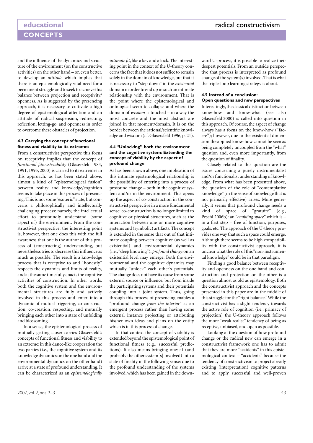and the influence of the dynamics and structure of the environment (on the constructive activities) on the other hand – or, even better, to develop an *attitude* which implies that there is an epistemologically vital need for a permanent struggle and to seek to achieve this balance between projection and receptivity/ openness. As is suggested by the presencing approach, it is necessary to cultivate a high degree of epistemological attention and an attitude of radical suspension, redirecting, reflection, letting-go, and openness in order to overcome these obstacles of projection.

#### **4.3 Carrying the concept of functional fitness and viability to its extremes**

From a constructivist perspective this focus on receptivity implies that the concept of *functional fitness/viability* (Glasersfeld 1984, 1991, 1995, 2000) is carried to its extremes in this approach: as has been stated above, almost a kind of "epistemological fusion" between reality and knowledge/cognition seems to take place in this process of presencing. This is not some "esoteric" state, but concerns a philosophically and intellectually challenging process: namely, the intellectual effort to profoundly understand (some aspect of) the environment. From the constructivist perspective, the interesting point is, however, that one does this with the full awareness that one is the author of this process of (constructing) understanding, but nevertheless tries to decrease this influence as much as possible. The result is a knowledge process that is receptive to and "honestly" respects the dynamics and limits of reality, and at the same time fully enacts the cognitive activities of construction. In other words, both the cognitive system and the environmental structures are fully and actively involved in this process and enter into a dynamic of mutual triggering, co-construction, co-creation, respecting, and mutually bringing each other into a state of unfolding and blossoming.

In a sense, the epistemological process of mutually getting closer carries Glasersfeld's concepts of functional fitness and viability to an extreme: in this dance-like cooperation the two parties (i.e., the cognitive system and its knowledge dynamics on the one hand and the environmental dynamics on the other hand) arrive at a state of profound understanding. It can be characterized as an *epistemologically*

*intimate fit*, like a key and a lock. The interesting point in the context of the U-theory concerns the fact that it does not suffice to remain solely in the domain of knowledge, but that it is necessary to "step down" in the *existential* domain in order to end up in such an intimate relationship with the environment. That is the point where the epistemological and ontological seem to collapse and where the domain of *wisdom* is touched – in a way the most concrete and the most abstract are joined in that moment/domain. It is on the border between the rational/scientific knowledge and wisdom (cf. Glasersfeld 1996, p. 21).

#### **4.4 "Unlocking" both the environment and the cognitive system: Extending the concept of viability by the aspect of profound change**

As has been shown above, one implication of this intimate epistemological relationship is the possibility of entering into a process of profound change – both in the cognitive system and/or in the environment. This opens up the aspect of co-construction in the constructivist perspective in a more fundamental sense: co-construction is no longer limited to cognitive or physical structures, such as the interaction between one or more cognitive systems and (symbolic) artifacts. The concept is extended in the sense that out of that intimate coupling between cognitive (as well as existential) and environmental dynamics (i.e., "deep knowing"), *profound change* on an existential level may emerge. Both the environmental and the cognitive dynamics may mutually "unlock" each other's potentials. The change does not have its cause from some external source or influence, but from inside the participating systems and their potentials coupling into a joint system. Thus, going through this process of presencing enables a "profound change *from the interior*" as an emergent process rather than having some external instance projecting or attributing his/her own ideas and plans on the entity which is in this process of change.

In that context the concept of viability is extended beyond the epistemological point of functional fitness (e.g., successful predictions). It also means bringing oneself (and probably the other system[s] involved) into a state of finality in the following sense: due to the profound understanding of the systems involved, which has been gained in the downward U-process, it is possible to realize their deepest potentials. From an outside perspective that process is interpreted as profound change of the system(s) involved. That is what the triple-loop learning strategy is about.

#### **4.5 Instead of a conclusion: Open questions and new perspectives**

Interestingly, the classical distinction between know-how and know-what (see also Glasersfeld 2000) is called into question in this approach. Of course, the aspect of change always has a focus on the know-how ("facere"); however, due to the existential dimension the applied know-how cannot be seen as being completely uncoupled from the "what" question and, even more importantly, from the question of finality.

Closely related to this question are the issues concerning a purely instrumentalist and/or functionalist understanding of knowledge. From what has been presented above, the question of the role of "contemplative knowledge" (in the sense of knowledge that is not primarily effective) arises. More generally, it seems that profound change needs a kind of space of "gratuité" (e.g., Peschl 2006b): an "*enabling space*" which is – in a first step – free of function, purposes, goals, etc. The approach of the U-theory provides one way that such a space could emerge. Although there seems to be high compatibility with the constructivist approach, it is unclear what the role of this "non-instrumental knowledge" could be in that paradigm.

Finding a good balance between receptivity and openness on the one hand and construction and projection on the other is a question almost as old as epistemology. Both the constructivist approach and the concepts presented in this paper are in the middle of this struggle for the "right balance." While the constructivist has a slight tendency towards the active role of cognition (i.e., primacy of projection) the U-theory approach follows the more "weak realist" tendency of being as receptive, unbiased, and open as possible.

Looking at the question of how profound change or the radical new can emerge in a constructivist framework one has to admit that they are more "accidents" in this epistemological context – "accidents" because the tendency of constructivism to project already existing (interpretation) cognitive patterns and to apply successful and well-proven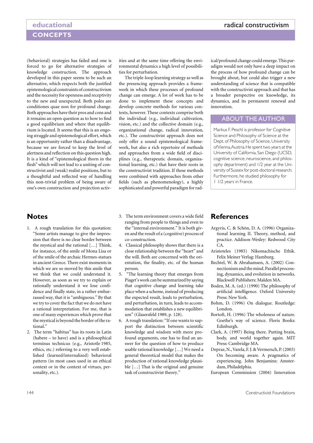(behavioral) strategies has failed and one is forced to go for alternative strategies of knowledge construction. The approach developed in this paper seems to be such an alternative, which respects both the justified epistemological constraints of constructivism and the necessity for openness and receptivity to the new and unexpected. Both poles are conditiones quae non for profound change. Both approaches have their pros and cons and it remains an open question as to how to find a good equilibrium and where that equilibrium is located. It seems that this is an ongoing struggle and epistemological effort, which is an opportunity rather than a disadvantage, because we are forced to keep the level of alertness and reflection on this question high. It is a kind of "epistemological thorn in the flesh" which will not lead to a uniting of constructivist and (weak) realist positions, but to a thoughtful and reflected way of handling this non-trivial problem of being aware of one's own construction and projection activities and at the same time offering the environmental dynamics a high level of possibilities for perturbation.

The triple-loop learning strategy as well as the presencing approach provides a framework in which these processes of profound change can emerge. A lot of work has to be done to implement these concepts and develop concrete methods for various contexts, however. These contexts comprise both the individual (e.g., individual cultivation, vision, etc.) and the collective domain (e.g., organizational change, radical innovation, etc.). The constructivist approach does not only offer a sound epistemological framework, but also a rich repertoire of methods and approaches from a wide field of disciplines (e.g., therapeutic domain, organizational learning, etc.) that have their roots in the constructivist tradition. If these methods were combined with approaches from other fields (such as phenomenology), a highly sophisticated and powerful paradigm for radical/profound change could emerge. This paradigm would not only have a deep impact on the process of how profound change can be brought about, but could also trigger a new understanding of science that is compatible with the constructivist approach and that has a broader perspective on knowledge, its dynamics, and its permanent renewal and innovation.

### ABOUT THE AUTHOR

Markus F. Peschl is professor for Cognitive Science and Philosophy of Science at the Dept. of Philosophy of Science, University of Vienna, Austria. He spent two years at the University of California, San Diego (UCSD, cognitive science, neuroscience, and philosophy department) and 1/2 year at the University of Sussex for post-doctoral research. Furthermore, he studied philosophy for 1 1/2 years in France.

## **Notes**

- 1. A rough translation for this quotation: "Some artists manage to give the impression that there is no clear border between the mystical and the rational […] Think, for instance, of the smile of Mona Lisa or of the smile of the archaic Hermes-statues in ancient Greece. There exist moments in which we are so moved by this smile that we think that we could understand it. However, as soon as we try to explain or rationally understand it we lose confidence and finally state, in a rather embarrassed way, that it is "ambiguous." By that we try to cover the fact that we do not have a rational interpretation. For me, that is one of many experiences which prove that the mystical is beyond the border of the rational."
- 2. The term "habitus" has its roots in Latin (habere – to have) and is a philosophical terminus technicus (e.g., Aristotle 1985, ethics, etc.) referring to a very well established (learned/internalized) behavioral pattern (in most cases used in an ethical context or in the context of virtues, personality, etc.).
- 3. The term environment covers a wide field ranging from people to things and even to the "internal environment." It is both given and the result of a (cognitive) process of co-construction.
- 4. Classical philosophy shows that there is a close relationship between the "heart" and the will. Both are concerned with the orientation, the finality, etc. of the human person.
- 5. "The learning theory that emerges from Piaget's work can be summarized by saying that cognitive change and learning take place when a scheme, instead of producing the expected result, leads to perturbation, and perturbation, in turn, leads to accommodation that establishes a new equilibrium" (Glasersfeld 1989, p. 128).
- 6. A rough translation: "If one wants to support the distinction between scientific knowledge and wisdom with more profound arguments, one has to find an answer for the question of how to produce usable rational knowledge […] We need a general theoretical model that makes the production of rational knowledge plausible […] That is the original and genuine task of constructivist theory."

## **References**

- Argyris, C. & Schön, D. A. (1996) Organizational learning II. Theory, method, and practice. Addison-Wesley: Redwood City CA.
- Aristoteles (1985) Nikomachische Ethik. Felix Meiner Verlag: Hamburg.
- Bechtel, W. & Abrahamsen, A. (2002) Connectionism and the mind. Parallel processing, dynamics, and evolution in networks. Blackwell Publishers: Malden MA.
- Boden, M. A. (ed.) (1990) The philosophy of artificial intelligence. Oxford University Press: New York.
- Bohm, D. (1996) On dialogue. Routledge: London.
- Bortoft, H. (1996) The wholeness of nature. Goethe's way of science. Floris Books: Edinburgh.
- Clark, A. (1997) Being there. Putting brain, body, and world together again. MIT Press: Cambridge MA.
- Depraz, N., Varela, F. J. & Vermersch, P. (2003) On becoming aware. A pragmatics of experiencing. John Benjamins: Amsterdam, Philadelphia.
- European Commission (2004) Innovation